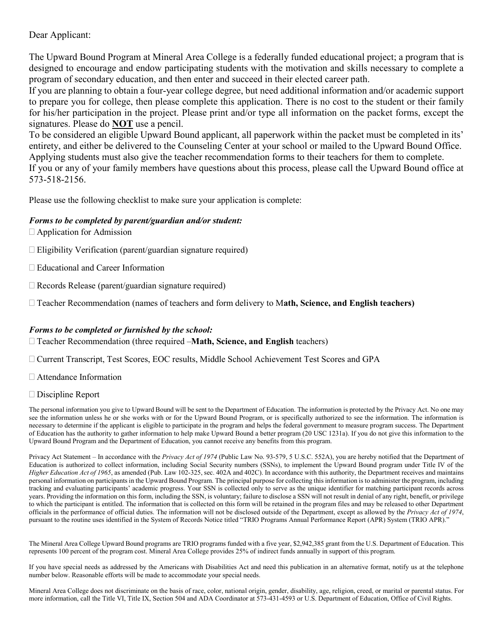Dear Applicant:

The Upward Bound Program at Mineral Area College is a federally funded educational project; a program that is designed to encourage and endow participating students with the motivation and skills necessary to complete a program of secondary education, and then enter and succeed in their elected career path.

If you are planning to obtain a four-year college degree, but need additional information and/or academic support to prepare you for college, then please complete this application. There is no cost to the student or their family for his/her participation in the project. Please print and/or type all information on the packet forms, except the signatures. Please do **NOT** use a pencil.

To be considered an eligible Upward Bound applicant, all paperwork within the packet must be completed in its' entirety, and either be delivered to the Counseling Center at your school or mailed to the Upward Bound Office. Applying students must also give the teacher recommendation forms to their teachers for them to complete. If you or any of your family members have questions about this process, please call the Upward Bound office at 573-518-2156.

Please use the following checklist to make sure your application is complete:

### *Forms to be completed by parent/guardian and/or student:*

 $\Box$  Application for Admission

 $\Box$  Eligibility Verification (parent/guardian signature required)

- □ Educational and Career Information
- $\Box$  Records Release (parent/guardian signature required)

Teacher Recommendation (names of teachers and form delivery to M**ath, Science, and English teachers)**

### *Forms to be completed or furnished by the school:*

Teacher Recommendation (three required –**Math, Science, and English** teachers)

Current Transcript, Test Scores, EOC results, Middle School Achievement Test Scores and GPA

Attendance Information

### □ Discipline Report

The personal information you give to Upward Bound will be sent to the Department of Education. The information is protected by the Privacy Act. No one may see the information unless he or she works with or for the Upward Bound Program, or is specifically authorized to see the information. The information is necessary to determine if the applicant is eligible to participate in the program and helps the federal government to measure program success. The Department of Education has the authority to gather information to help make Upward Bound a better program (20 USC 1231a). If you do not give this information to the Upward Bound Program and the Department of Education, you cannot receive any benefits from this program.

Privacy Act Statement – In accordance with the *Privacy Act of 1974* (Public Law No. 93-579, 5 U.S.C. 552A), you are hereby notified that the Department of Education is authorized to collect information, including Social Security numbers (SSNs), to implement the Upward Bound program under Title IV of the *Higher Education Act of 1965*, as amended (Pub. Law 102-325, sec. 402A and 402C). In accordance with this authority, the Department receives and maintains personal information on participants in the Upward Bound Program. The principal purpose for collecting this information is to administer the program, including tracking and evaluating participants' academic progress. Your SSN is collected only to serve as the unique identifier for matching participant records across years. Providing the information on this form, including the SSN, is voluntary; failure to disclose a SSN will not result in denial of any right, benefit, or privilege to which the participant is entitled. The information that is collected on this form will be retained in the program files and may be released to other Department officials in the performance of official duties. The information will not be disclosed outside of the Department, except as allowed by the *Privacy Act of 1974*, pursuant to the routine uses identified in the System of Records Notice titled "TRIO Programs Annual Performance Report (APR) System (TRIO APR)."

The Mineral Area College Upward Bound programs are TRIO programs funded with a five year, \$2,942,385 grant from the U.S. Department of Education. This represents 100 percent of the program cost. Mineral Area College provides 25% of indirect funds annually in support of this program.

If you have special needs as addressed by the Americans with Disabilities Act and need this publication in an alternative format, notify us at the telephone number below. Reasonable efforts will be made to accommodate your special needs.

Mineral Area College does not discriminate on the basis of race, color, national origin, gender, disability, age, religion, creed, or marital or parental status. For more information, call the Title VI, Title IX, Section 504 and ADA Coordinator at 573-431-4593 or U.S. Department of Education, Office of Civil Rights.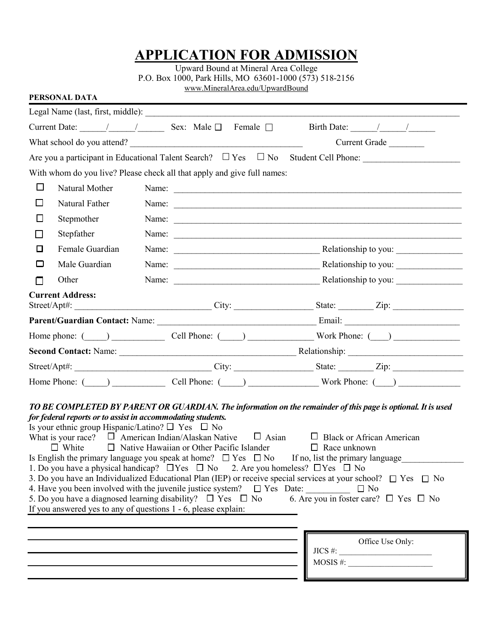### **APPLICATION FOR ADMISSION**

Upward Bound at Mineral Area College P.O. Box 1000, Park Hills, MO 63601-1000 (573) 518-2156 [www.MineralArea.edu/UpwardB](http://www.mineralarea.edu/#Upward)ound

| PERSONAL DATA             |                                                                                                                                                                                                                                                                                                                                                                                                                                               |              |                                                                                                                                                                                                                                                                                                                               |
|---------------------------|-----------------------------------------------------------------------------------------------------------------------------------------------------------------------------------------------------------------------------------------------------------------------------------------------------------------------------------------------------------------------------------------------------------------------------------------------|--------------|-------------------------------------------------------------------------------------------------------------------------------------------------------------------------------------------------------------------------------------------------------------------------------------------------------------------------------|
|                           |                                                                                                                                                                                                                                                                                                                                                                                                                                               |              |                                                                                                                                                                                                                                                                                                                               |
|                           | Current Date: $\sqrt{2\pi}$ / Sex: Male $\Box$ Female $\Box$                                                                                                                                                                                                                                                                                                                                                                                  |              | Birth Date: $\frac{1}{\sqrt{1-\frac{1}{2}}}\left  \frac{1}{\sqrt{1-\frac{1}{2}}}\right $                                                                                                                                                                                                                                      |
|                           | What school do you attend?                                                                                                                                                                                                                                                                                                                                                                                                                    |              | Current Grade                                                                                                                                                                                                                                                                                                                 |
|                           |                                                                                                                                                                                                                                                                                                                                                                                                                                               |              | Are you a participant in Educational Talent Search? $\Box$ Yes $\Box$ No Student Cell Phone:                                                                                                                                                                                                                                  |
|                           | With whom do you live? Please check all that apply and give full names:                                                                                                                                                                                                                                                                                                                                                                       |              |                                                                                                                                                                                                                                                                                                                               |
| □<br>Natural Mother       |                                                                                                                                                                                                                                                                                                                                                                                                                                               |              | Name:                                                                                                                                                                                                                                                                                                                         |
| Natural Father<br>$\Box$  |                                                                                                                                                                                                                                                                                                                                                                                                                                               |              | Name:                                                                                                                                                                                                                                                                                                                         |
| Stepmother<br>$\Box$      |                                                                                                                                                                                                                                                                                                                                                                                                                                               |              | Name:                                                                                                                                                                                                                                                                                                                         |
| Stepfather<br>l l         |                                                                                                                                                                                                                                                                                                                                                                                                                                               |              | Name:                                                                                                                                                                                                                                                                                                                         |
| $\Box$<br>Female Guardian |                                                                                                                                                                                                                                                                                                                                                                                                                                               |              |                                                                                                                                                                                                                                                                                                                               |
| Male Guardian<br>□        |                                                                                                                                                                                                                                                                                                                                                                                                                                               |              |                                                                                                                                                                                                                                                                                                                               |
| Other<br>П                |                                                                                                                                                                                                                                                                                                                                                                                                                                               |              | Name: Relationship to you:                                                                                                                                                                                                                                                                                                    |
| <b>Current Address:</b>   |                                                                                                                                                                                                                                                                                                                                                                                                                                               |              |                                                                                                                                                                                                                                                                                                                               |
|                           |                                                                                                                                                                                                                                                                                                                                                                                                                                               |              |                                                                                                                                                                                                                                                                                                                               |
|                           |                                                                                                                                                                                                                                                                                                                                                                                                                                               |              | Home phone: $\qquad \qquad$ Cell Phone: $\qquad \qquad$ Work Phone: $\qquad \qquad$                                                                                                                                                                                                                                           |
|                           |                                                                                                                                                                                                                                                                                                                                                                                                                                               |              |                                                                                                                                                                                                                                                                                                                               |
|                           |                                                                                                                                                                                                                                                                                                                                                                                                                                               |              |                                                                                                                                                                                                                                                                                                                               |
|                           |                                                                                                                                                                                                                                                                                                                                                                                                                                               |              | Street/Apt#: _________________________________City: ____________________State: _________Zip: ________________________<br>Home Phone: $\qquad \qquad$ Cell Phone: $\qquad \qquad$ Work Phone: $\qquad \qquad$                                                                                                                  |
|                           |                                                                                                                                                                                                                                                                                                                                                                                                                                               |              |                                                                                                                                                                                                                                                                                                                               |
|                           | for federal reports or to assist in accommodating students.<br>Is your ethnic group Hispanic/Latino? $\square$ Yes $\square$ No<br>What is your race? $\Box$ American Indian/Alaskan Native<br>$\Box$ White $\Box$ Native Hawaiian or Other Pacific Islander<br>Is English the primary language you speak at home? $\Box$ Yes $\Box$ No<br>1. Do you have a physical handicap? $\Box$ Yes $\Box$ No 2. Are you homeless? $\Box$ Yes $\Box$ No | $\Box$ Asian | TO BE COMPLETED BY PARENT OR GUARDIAN. The information on the remainder of this page is optional. It is used<br>$\Box$ Black or African American<br>$\Box$ Race unknown<br>If no, list the primary language<br>3. Do you have an Individualized Educational Plan (IEP) or receive special services at your school? □ Yes □ No |
|                           | 4. Have you been involved with the juvenile justice system? $\Box$ Yes Date:<br>5. Do you have a diagnosed learning disability? $\Box$ Yes $\Box$ No<br>If you answered yes to any of questions $1 - 6$ , please explain:                                                                                                                                                                                                                     |              | $\Box$ No<br>6. Are you in foster care? $\Box$ Yes $\Box$ No                                                                                                                                                                                                                                                                  |
|                           |                                                                                                                                                                                                                                                                                                                                                                                                                                               |              | Office Use Only:<br>$JICS$ #:<br>$MOSIS \#$ :                                                                                                                                                                                                                                                                                 |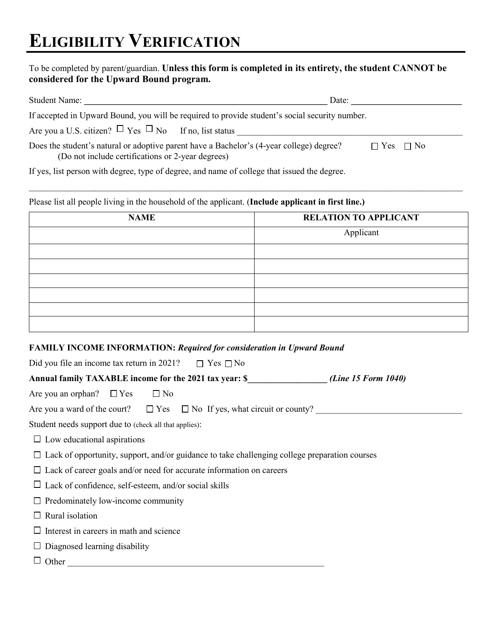### To be completed by parent/guardian. **Unless this form is completed in its entirety, the student CANNOT be considered for the Upward Bound program.**

| <b>Student Name:</b>                                            | Date:                                                                                          |                      |
|-----------------------------------------------------------------|------------------------------------------------------------------------------------------------|----------------------|
|                                                                 | If accepted in Upward Bound, you will be required to provide student's social security number. |                      |
| Are you a U.S. citizen? $\Box$ Yes $\Box$ No If no, list status |                                                                                                |                      |
| (Do not include certifications or 2-year degrees)               | Does the student's natural or adoptive parent have a Bachelor's (4-year college) degree?       | $\Box$ Yes $\Box$ No |
| $\mathbf{r} \cdot \mathbf{r} = \mathbf{r} \cdot \mathbf{r}$     | $\sim$ 1 $\sim$ 01 1 01 1 1 1 1 1                                                              |                      |

 $\_$  , and the contribution of the contribution of the contribution of the contribution of the contribution of  $\mathcal{L}_\text{max}$ 

If yes, list person with degree, type of degree, and name of college that issued the degree.

Please list all people living in the household of the applicant. (**Include applicant in first line.)**

| <b>NAME</b> | <b>RELATION TO APPLICANT</b> |
|-------------|------------------------------|
|             | Applicant                    |
|             |                              |
|             |                              |
|             |                              |
|             |                              |
|             |                              |
|             |                              |

### **FAMILY INCOME INFORMATION:** *Required for consideration in Upward Bound*

Did you file an income tax return in 2021?  $\Box$  Yes  $\Box$  No

**Annual family TAXABLE income for the 2021 tax year: \$\_\_\_\_\_\_\_\_\_\_\_\_\_\_\_\_\_\_** *(Line 15 Form 1040)*

Are you an orphan?  $\Box$  Yes  $\Box$  No

|  |  | Are you a ward of the court? $\Box$ Yes $\Box$ No If yes, what circuit or county? |  |
|--|--|-----------------------------------------------------------------------------------|--|
|--|--|-----------------------------------------------------------------------------------|--|

Student needs support due to (check all that applies):

- $\square$  Low educational aspirations
- $\Box$  Lack of opportunity, support, and/or guidance to take challenging college preparation courses
- $\Box$  Lack of career goals and/or need for accurate information on careers
- $\Box$  Lack of confidence, self-esteem, and/or social skills
- $\Box$  Predominately low-income community
- $\Box$  Rural isolation
- $\Box$  Interest in careers in math and science
- $\Box$  Diagnosed learning disability
- $\Box$  Other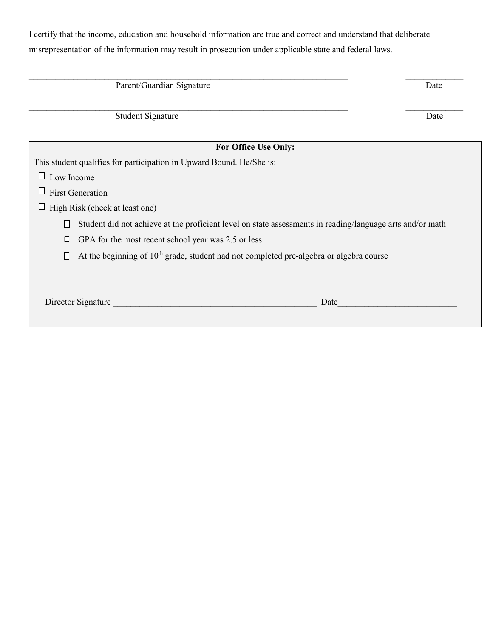I certify that the income, education and household information are true and correct and understand that deliberate misrepresentation of the information may result in prosecution under applicable state and federal laws.

| Parent/Guardian Signature                                                                                      | Date |
|----------------------------------------------------------------------------------------------------------------|------|
| <b>Student Signature</b>                                                                                       | Date |
| For Office Use Only:                                                                                           |      |
| This student qualifies for participation in Upward Bound. He/She is:                                           |      |
| Low Income<br>Ц                                                                                                |      |
| <b>First Generation</b><br>Ц                                                                                   |      |
| High Risk (check at least one)                                                                                 |      |
| Student did not achieve at the proficient level on state assessments in reading/language arts and/or math<br>П |      |
| GPA for the most recent school year was 2.5 or less<br>口                                                       |      |
| At the beginning of $10th$ grade, student had not completed pre-algebra or algebra course<br>$\mathsf{L}$      |      |
|                                                                                                                |      |
| Director Signature<br>Date                                                                                     |      |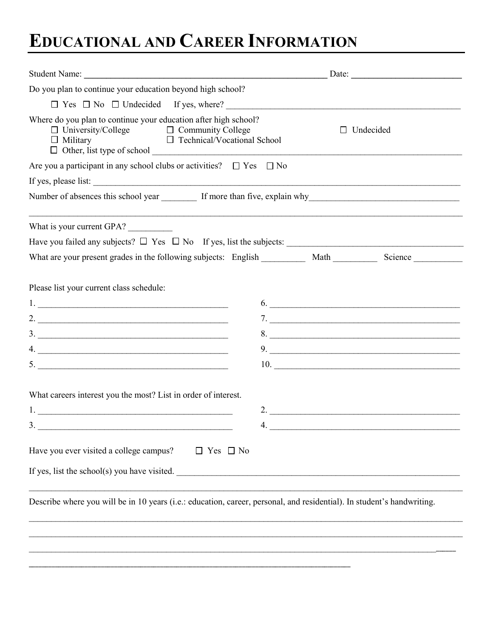# **EDUCATIONAL AND CAREER INFORMATION**

|                                                                                                                                                                                                                                                                                                                                                         |                                                   | Date:                                                                                                          |
|---------------------------------------------------------------------------------------------------------------------------------------------------------------------------------------------------------------------------------------------------------------------------------------------------------------------------------------------------------|---------------------------------------------------|----------------------------------------------------------------------------------------------------------------|
| Do you plan to continue your education beyond high school?                                                                                                                                                                                                                                                                                              |                                                   |                                                                                                                |
| $\Box$ Yes $\Box$ No $\Box$ Undecided If yes, where?                                                                                                                                                                                                                                                                                                    |                                                   |                                                                                                                |
| Where do you plan to continue your education after high school?<br>$\begin{tabular}{ll} \hline \Box & University/ College \\ \Box & Military \\ \hline \end{tabular} \begin{tabular}{ll} \begin{tabular}{ll} \Box & Community College \\ \Box & Technical/Vocational School \\ \end{tabular} \end{tabular}$<br>$\Box$ Other, list type of school $\Box$ |                                                   | $\Box$ Undecided                                                                                               |
| Are you a participant in any school clubs or activities? $\Box$ Yes $\Box$ No                                                                                                                                                                                                                                                                           |                                                   |                                                                                                                |
| If yes, please list:                                                                                                                                                                                                                                                                                                                                    |                                                   |                                                                                                                |
| Number of absences this school year _________ If more than five, explain why _________________________________                                                                                                                                                                                                                                          |                                                   |                                                                                                                |
| What is your current GPA?                                                                                                                                                                                                                                                                                                                               |                                                   |                                                                                                                |
|                                                                                                                                                                                                                                                                                                                                                         |                                                   |                                                                                                                |
| What are your present grades in the following subjects: English ___________ Math ___________ Science _______________                                                                                                                                                                                                                                    |                                                   |                                                                                                                |
| $1.$ $\overline{\phantom{a}}$<br>2. $\frac{1}{2}$<br>$\frac{3}{2}$<br>What careers interest you the most? List in order of interest.                                                                                                                                                                                                                    |                                                   | 6.<br>$7.$ $\overline{\phantom{a}}$<br>8.<br>9.<br>$\boxed{10. \qquad \qquad }$<br>2. $\overline{\phantom{a}}$ |
| 3.                                                                                                                                                                                                                                                                                                                                                      | $\boldsymbol{\Lambda}$ and $\boldsymbol{\Lambda}$ |                                                                                                                |
| Have you ever visited a college campus? $\Box$ Yes $\Box$ No<br>If yes, list the school(s) you have visited.                                                                                                                                                                                                                                            |                                                   |                                                                                                                |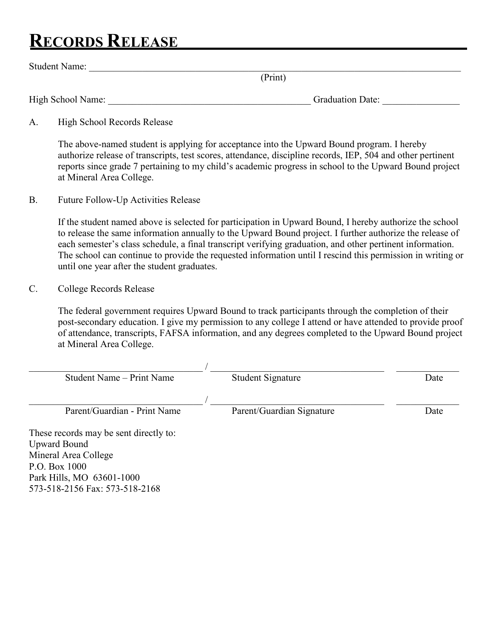# **RECORDS RELEASE**

Park Hills, MO 63601-1000 573-518-2156 Fax: 573-518-2168

|                 | <b>RECORDS RELEASE</b>                                                                                                                                                                                                                                                                                                                                                                                                                                                                        |
|-----------------|-----------------------------------------------------------------------------------------------------------------------------------------------------------------------------------------------------------------------------------------------------------------------------------------------------------------------------------------------------------------------------------------------------------------------------------------------------------------------------------------------|
|                 | Student Name: Name:                                                                                                                                                                                                                                                                                                                                                                                                                                                                           |
|                 | (Print)                                                                                                                                                                                                                                                                                                                                                                                                                                                                                       |
|                 | Graduation Date:                                                                                                                                                                                                                                                                                                                                                                                                                                                                              |
| A.              | High School Records Release                                                                                                                                                                                                                                                                                                                                                                                                                                                                   |
|                 | The above-named student is applying for acceptance into the Upward Bound program. I hereby<br>authorize release of transcripts, test scores, attendance, discipline records, IEP, 504 and other pertinent<br>reports since grade 7 pertaining to my child's academic progress in school to the Upward Bound project<br>at Mineral Area College.                                                                                                                                               |
| <b>B.</b>       | <b>Future Follow-Up Activities Release</b>                                                                                                                                                                                                                                                                                                                                                                                                                                                    |
|                 | If the student named above is selected for participation in Upward Bound, I hereby authorize the school<br>to release the same information annually to the Upward Bound project. I further authorize the release of<br>each semester's class schedule, a final transcript verifying graduation, and other pertinent information.<br>The school can continue to provide the requested information until I rescind this permission in writing or<br>until one year after the student graduates. |
| $\mathcal{C}$ . | College Records Release                                                                                                                                                                                                                                                                                                                                                                                                                                                                       |
|                 | The federal government requires Upward Bound to track participants through the completion of their<br>post-secondary education. I give my permission to any college I attend or have attended to provide proof<br>of attendance, transcripts, FAFSA information, and any degrees completed to the Upward Bound project<br>at Mineral Area College.                                                                                                                                            |

| Student Name – Print Name              | <b>Student Signature</b>  | Date |
|----------------------------------------|---------------------------|------|
|                                        |                           |      |
| Parent/Guardian - Print Name           | Parent/Guardian Signature | Date |
| These records may be sent directly to: |                           |      |
| <b>Upward Bound</b>                    |                           |      |
| Mineral Area College                   |                           |      |
| P.O. Box 1000                          |                           |      |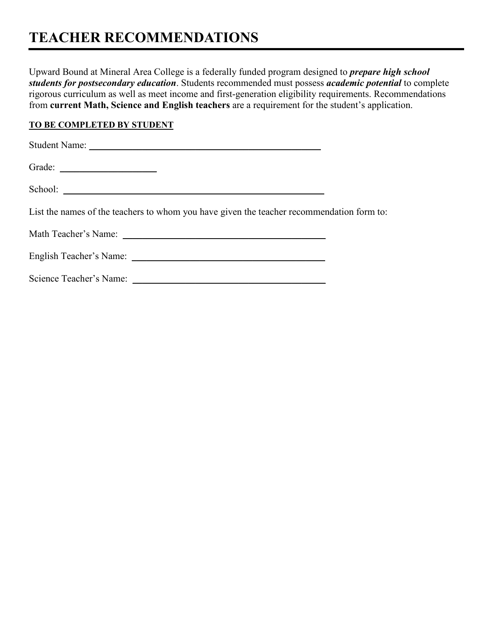### **TEACHER RECOMMENDATIONS**

Upward Bound at Mineral Area College is a federally funded program designed to *prepare high school students for postsecondary education*. Students recommended must possess *academic potential* to complete rigorous curriculum as well as meet income and first-generation eligibility requirements. Recommendations from **current Math, Science and English teachers** are a requirement for the student's application.

### **TO BE COMPLETED BY STUDENT**

| List the names of the teachers to whom you have given the teacher recommendation form to: |  |
|-------------------------------------------------------------------------------------------|--|
|                                                                                           |  |
|                                                                                           |  |
| Science Teacher's Name:                                                                   |  |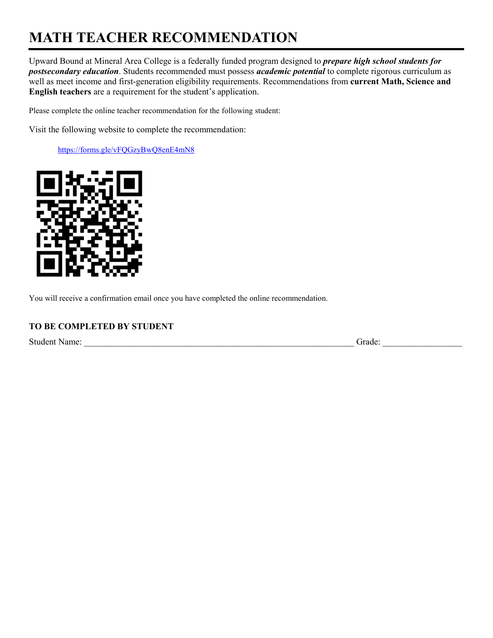# **MATH TEACHER RECOMMENDATION**

Upward Bound at Mineral Area College is a federally funded program designed to *prepare high school students for postsecondary education*. Students recommended must possess *academic potential* to complete rigorous curriculum as well as meet income and first-generation eligibility requirements. Recommendations from **current Math, Science and English teachers** are a requirement for the student's application.

Please complete the online teacher recommendation for the following student:

Visit the following website to complete the recommendation:

<https://forms.gle/vFQGzyBwQ8enE4mN8>



You will receive a confirmation email once you have completed the online recommendation.

### **TO BE COMPLETED BY STUDENT**

Student Name: \_\_\_\_\_\_\_\_\_\_\_\_\_\_\_\_\_\_\_\_\_\_\_\_\_\_\_\_\_\_\_\_\_\_\_\_\_\_\_\_\_\_\_\_\_\_\_\_\_\_\_\_\_\_\_\_\_\_\_\_\_ Grade: \_\_\_\_\_\_\_\_\_\_\_\_\_\_\_\_\_\_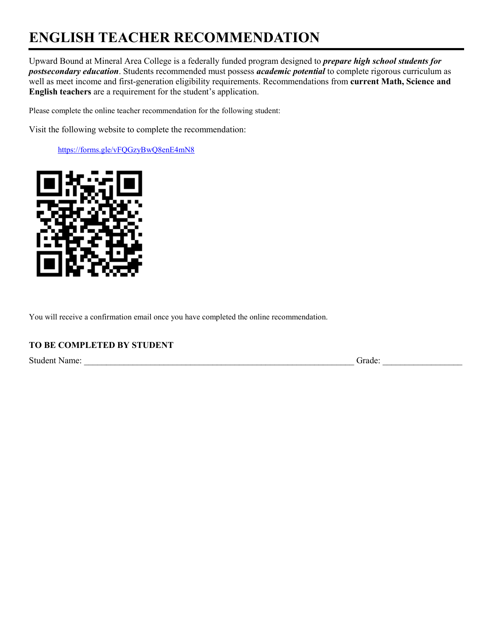# **ENGLISH TEACHER RECOMMENDATION**

Upward Bound at Mineral Area College is a federally funded program designed to *prepare high school students for postsecondary education*. Students recommended must possess *academic potential* to complete rigorous curriculum as well as meet income and first-generation eligibility requirements. Recommendations from **current Math, Science and English teachers** are a requirement for the student's application.

Please complete the online teacher recommendation for the following student:

Visit the following website to complete the recommendation:

<https://forms.gle/vFQGzyBwQ8enE4mN8>



You will receive a confirmation email once you have completed the online recommendation.

### **TO BE COMPLETED BY STUDENT**

Student Name: \_\_\_\_\_\_\_\_\_\_\_\_\_\_\_\_\_\_\_\_\_\_\_\_\_\_\_\_\_\_\_\_\_\_\_\_\_\_\_\_\_\_\_\_\_\_\_\_\_\_\_\_\_\_\_\_\_\_\_\_\_ Grade: \_\_\_\_\_\_\_\_\_\_\_\_\_\_\_\_\_\_